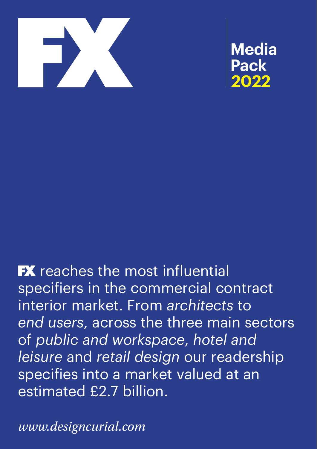

**Media Pack 2022**

**FX** reaches the most influential specifiers in the commercial contract interior market. From *architects* to *end users*, across the three main sectors of *public and workspace*, *hotel and leisure* and *retail design* our readership specifies into a market valued at an estimated £2.7 billion.

*www.designcurial.com*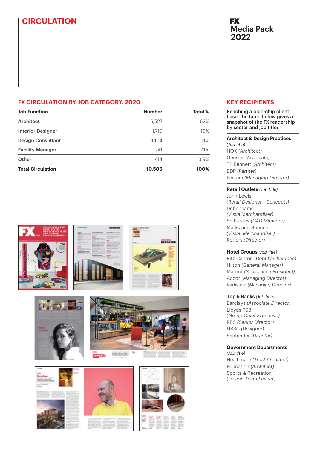# **CIRCULATION**

# **FX Media Pack 2022**

## **FX CIRCULATION BY JOB CATEGORY, 2020**

| <b>Job Function</b>      | <b>Number</b> | Total % |
|--------------------------|---------------|---------|
| <b>Architect</b>         | 6.527         | 62%     |
| <b>Interior Designer</b> | 1.719         | 16%     |
| <b>Design Consultant</b> | 1.104         | 11%     |
| <b>Facility Manager</b>  | 741           | 7.1%    |
| Other                    | 414           | 3.9%    |
| <b>Total Circulation</b> | 10,505        | 100%    |















# **KEY RECIPIENTS**

Reaching a blue-chip client base, the table below gives a snapshot of the FX readership by sector and job title:

#### **Architect & Design Practices**

*(Job title)* HOK *(Architect)* Gensler *(Associate)* TP Bennett *(Architect)* BDP *(Partner)* Fosters *(Managing Director)*

### **Retail Outlets** *(Job title)*

John Lewis *(Retail Designer - Concepts)* Debenhams *(VisualMerchandiser)* Selfridges *(CAD Manager)* Marks and Spencer *(Visual Merchandiser)* Rogers *(Director)*

### **Hotel Groups** *(Job title)*

Ritz Carlton *(Deputy Chairman)* Hilton *(General Manager)* Marriot *(Senior Vice President)* Accor *(Managing Director)* Radisson *(Managing Director)*

### **Top 5 Banks** *(Job title)*

Barclays *(Associate Director)* Lloyds TSB *(Group Chief Executive)* RBS *(Senior Director)* HSBC *(Designer)* Santander *(Director)*

### **Government Departments**

*(Job title)* Healthcare *(Trust Architect)* Education *(Architect)* Sports & Recreation *(Design Team Leader)*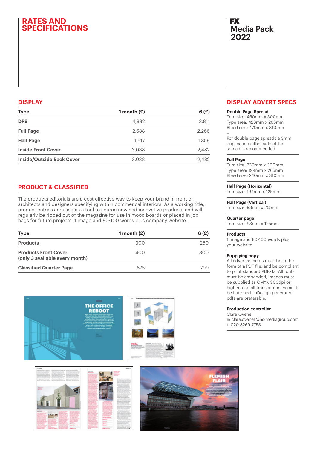# **RATES AND SPECIFICATIONS**

### **DISPLAY**

| <b>Type</b>                      | 1 month $(E)$ | 6(f)  |
|----------------------------------|---------------|-------|
| <b>DPS</b>                       | 4,882         | 3,811 |
| <b>Full Page</b>                 | 2,688         | 2.266 |
| <b>Half Page</b>                 | 1.617         | 1,359 |
| <b>Inside Front Cover</b>        | 3.038         | 2.482 |
| <b>Inside/Outside Back Cover</b> | 3.038         | 2.482 |

## **PRODUCT & CLASSIFIED**

The products editorials are a cost effective way to keep your brand in front of architects and designers specifying within commerical interiors. As a working title, product entries are used as a tool to source new and innovative products and will regularly be ripped out of the magazine for use in mood boards or placed in job bags for future projects. 1 image and 80-100 words plus company website.

| <b>Type</b>                                                   | 1 month $(E)$ | 6(f) |
|---------------------------------------------------------------|---------------|------|
| <b>Products</b>                                               | 300           | 250  |
| <b>Products Front Cover</b><br>(only 3 available every month) | 400           | 300  |
| <b>Classified Quarter Page</b>                                | 875           | 799  |







# **FX Media Pack 2022**

### **DISPLAY ADVERT SPECS**

#### **Double Page Spread**

Trim size: 460mm x 300mm Type area: 428mm x 265mm Bleed size: 470mm x 310mm –

For double page spreads a 3mm duplication either side of the spread is recommended

#### **Full Page**

Trim size: 230mm x 300mm Type area: 194mm x 265mm Bleed size: 240mm x 310mm

#### **Half Page (Horizontal)**

Trim size: 194mm x 125mm

#### **Half Page (Vertical)**

Trim size: 93mm x 265mm

#### **Quarter page**

Trim size: 93mm x 125mm

#### **Products**

1 image and 80-100 words plus your website

#### **Supplying copy**

All advertisements must be in the form of a PDF file, and be compliant to print standard PDFx1a: All fonts must be embedded, images must be supplied as CMYK 300dpi or higher, and all transparencies must be flattened. InDesign generated pdfs are preferable.

#### **Production controller**

Clare Ovenell

e: clare.ovenell@ns-mediagroup.com t: 020 8269 7753